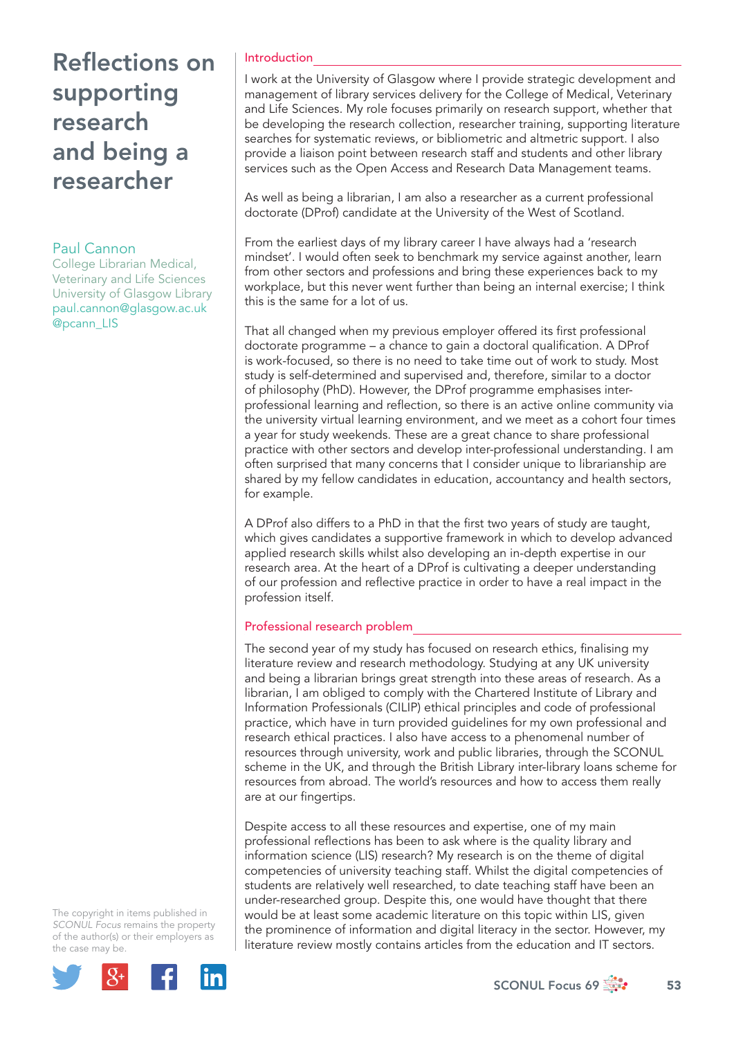# **Reflections on** supporting research and being a researcher

### Paul Cannon

College Librarian Medical, Veterinary and Life Sciences University of Glasgow Library paul.cannon@glasgow.ac.uk @pcann\_LIS

### Introduction

I work at the University of Glasgow where I provide strategic development and management of library services delivery for the College of Medical, Veterinary and Life Sciences. My role focuses primarily on research support, whether that be developing the research collection, researcher training, supporting literature searches for systematic reviews, or bibliometric and altmetric support. I also provide a liaison point between research staff and students and other library services such as the Open Access and Research Data Management teams.

As well as being a librarian, I am also a researcher as a current professional doctorate (DProf) candidate at the University of the West of Scotland.

From the earliest days of my library career I have always had a 'research mindset'. I would often seek to benchmark my service against another, learn from other sectors and professions and bring these experiences back to my workplace, but this never went further than being an internal exercise; I think this is the same for a lot of us.

That all changed when my previous employer offered its first professional doctorate programme – a chance to gain a doctoral qualification. A DProf is work-focused, so there is no need to take time out of work to study. Most study is self-determined and supervised and, therefore, similar to a doctor of philosophy (PhD). However, the DProf programme emphasises interprofessional learning and reflection, so there is an active online community via the university virtual learning environment, and we meet as a cohort four times a year for study weekends. These are a great chance to share professional practice with other sectors and develop inter-professional understanding. I am often surprised that many concerns that I consider unique to librarianship are shared by my fellow candidates in education, accountancy and health sectors, for example.

A DProf also differs to a PhD in that the first two years of study are taught, which gives candidates a supportive framework in which to develop advanced applied research skills whilst also developing an in-depth expertise in our research area. At the heart of a DProf is cultivating a deeper understanding of our profession and reflective practice in order to have a real impact in the profession itself.

### Professional research problem

The second year of my study has focused on research ethics, finalising my literature review and research methodology. Studying at any UK university and being a librarian brings great strength into these areas of research. As a librarian, I am obliged to comply with the Chartered Institute of Library and Information Professionals (CILIP) ethical principles and code of professional practice, which have in turn provided guidelines for my own professional and research ethical practices. I also have access to a phenomenal number of resources through university, work and public libraries, through the SCONUL scheme in the UK, and through the British Library inter-library loans scheme for resources from abroad. The world's resources and how to access them really are at our fingertips.

Despite access to all these resources and expertise, one of my main professional reflections has been to ask where is the quality library and information science (LIS) research? My research is on the theme of digital competencies of university teaching staff. Whilst the digital competencies of students are relatively well researched, to date teaching staff have been an under-researched group. Despite this, one would have thought that there would be at least some academic literature on this topic within LIS, given the prominence of information and digital literacy in the sector. However, my literature review mostly contains articles from the education and IT sectors.

The copyright in items published in *SCONUL Focus* remains the property of the author(s) or their employers as the case may be.

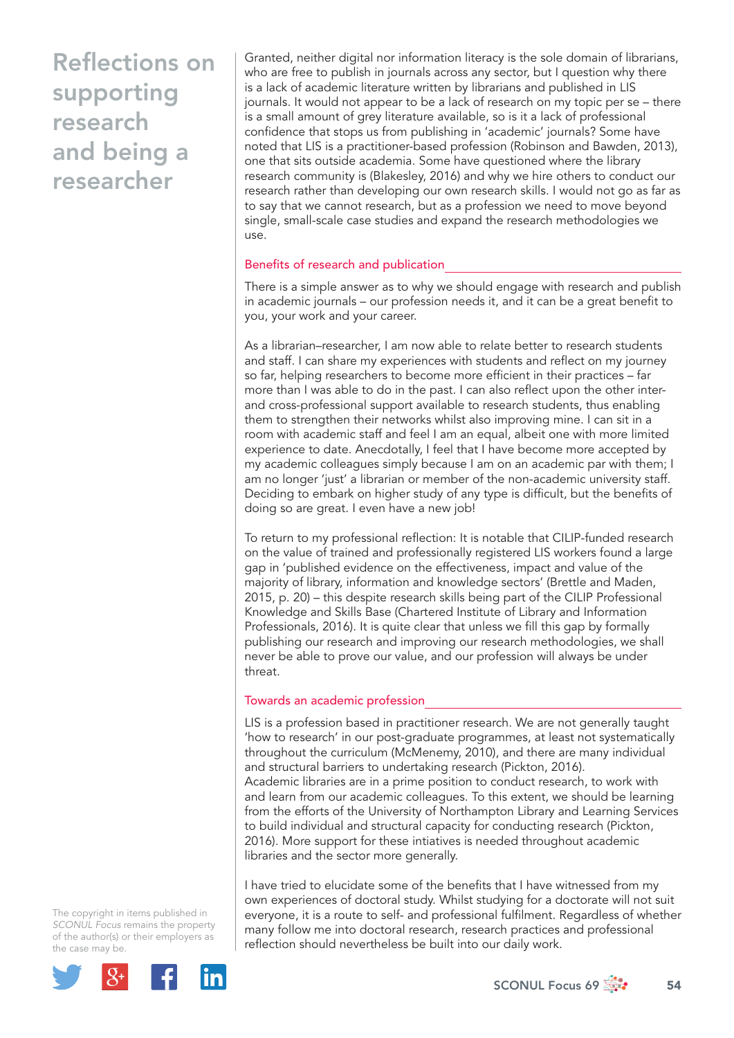# **Reflections on** supporting research and being a researcher

Granted, neither digital nor information literacy is the sole domain of librarians, who are free to publish in journals across any sector, but I question why there is a lack of academic literature written by librarians and published in LIS journals. It would not appear to be a lack of research on my topic per se – there is a small amount of grey literature available, so is it a lack of professional confidence that stops us from publishing in 'academic' journals? Some have noted that LIS is a practitioner-based profession (Robinson and Bawden, 2013), one that sits outside academia. Some have questioned where the library research community is (Blakesley, 2016) and why we hire others to conduct our research rather than developing our own research skills. I would not go as far as to say that we cannot research, but as a profession we need to move beyond single, small-scale case studies and expand the research methodologies we use.

### Benefits of research and publication

There is a simple answer as to why we should engage with research and publish in academic journals - our profession needs it, and it can be a great benefit to you, your work and your career.

As a librarian–researcher, I am now able to relate better to research students and staff. I can share my experiences with students and reflect on my journey so far, helping researchers to become more efficient in their practices - far more than I was able to do in the past. I can also reflect upon the other interand cross-professional support available to research students, thus enabling them to strengthen their networks whilst also improving mine. I can sit in a room with academic staff and feel I am an equal, albeit one with more limited experience to date. Anecdotally, I feel that I have become more accepted by my academic colleagues simply because I am on an academic par with them; I am no longer 'just' a librarian or member of the non-academic university staff. Deciding to embark on higher study of any type is difficult, but the benefits of doing so are great. I even have a new job!

To return to my professional reflection: It is notable that CILIP-funded research on the value of trained and professionally registered LIS workers found a large gap in 'published evidence on the effectiveness, impact and value of the majority of library, information and knowledge sectors' (Brettle and Maden, 2015, p. 20) – this despite research skills being part of the CILIP Professional Knowledge and Skills Base (Chartered Institute of Library and Information Professionals, 2016). It is quite clear that unless we fill this gap by formally publishing our research and improving our research methodologies, we shall never be able to prove our value, and our profession will always be under threat.

### Towards an academic profession

LIS is a profession based in practitioner research. We are not generally taught 'how to research' in our post-graduate programmes, at least not systematically throughout the curriculum (McMenemy, 2010), and there are many individual and structural barriers to undertaking research (Pickton, 2016). Academic libraries are in a prime position to conduct research, to work with and learn from our academic colleagues. To this extent, we should be learning from the efforts of the University of Northampton Library and Learning Services to build individual and structural capacity for conducting research (Pickton, 2016). More support for these intiatives is needed throughout academic libraries and the sector more generally.

I have tried to elucidate some of the benefits that I have witnessed from my own experiences of doctoral study. Whilst studying for a doctorate will not suit everyone, it is a route to self- and professional fulfilment. Regardless of whether many follow me into doctoral research, research practices and professional reflection should nevertheless be built into our daily work.

The copyright in items published in *SCONUL Focus* remains the property of the author(s) or their employers as the case may be.